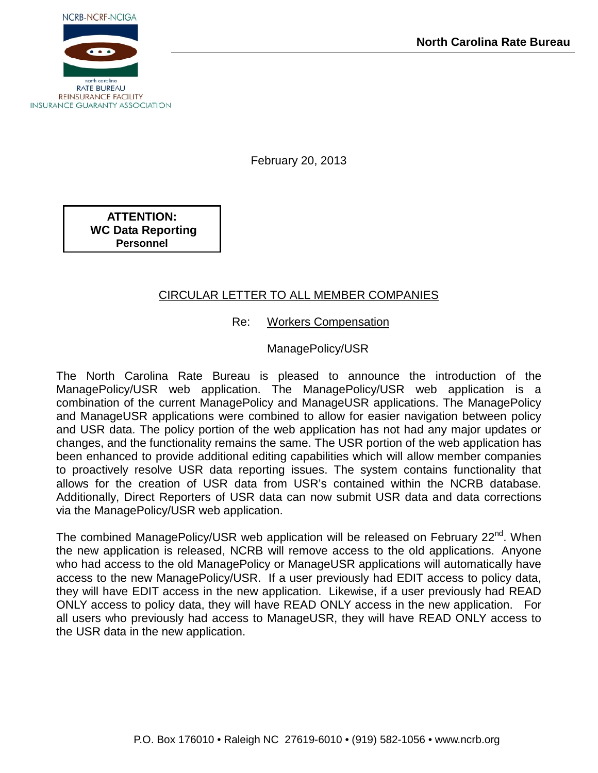

February 20, 2013

**ATTENTION: WC Data Reporting Personnel**

#### CIRCULAR LETTER TO ALL MEMBER COMPANIES

Re: Workers Compensation

ManagePolicy/USR

The North Carolina Rate Bureau is pleased to announce the introduction of the ManagePolicy/USR web application. The ManagePolicy/USR web application is a combination of the current ManagePolicy and ManageUSR applications. The ManagePolicy and ManageUSR applications were combined to allow for easier navigation between policy and USR data. The policy portion of the web application has not had any major updates or changes, and the functionality remains the same. The USR portion of the web application has been enhanced to provide additional editing capabilities which will allow member companies to proactively resolve USR data reporting issues. The system contains functionality that allows for the creation of USR data from USR's contained within the NCRB database. Additionally, Direct Reporters of USR data can now submit USR data and data corrections via the ManagePolicy/USR web application.

The combined ManagePolicy/USR web application will be released on February 22<sup>nd</sup>. When the new application is released, NCRB will remove access to the old applications. Anyone who had access to the old ManagePolicy or ManageUSR applications will automatically have access to the new ManagePolicy/USR. If a user previously had EDIT access to policy data, they will have EDIT access in the new application. Likewise, if a user previously had READ ONLY access to policy data, they will have READ ONLY access in the new application. For all users who previously had access to ManageUSR, they will have READ ONLY access to the USR data in the new application.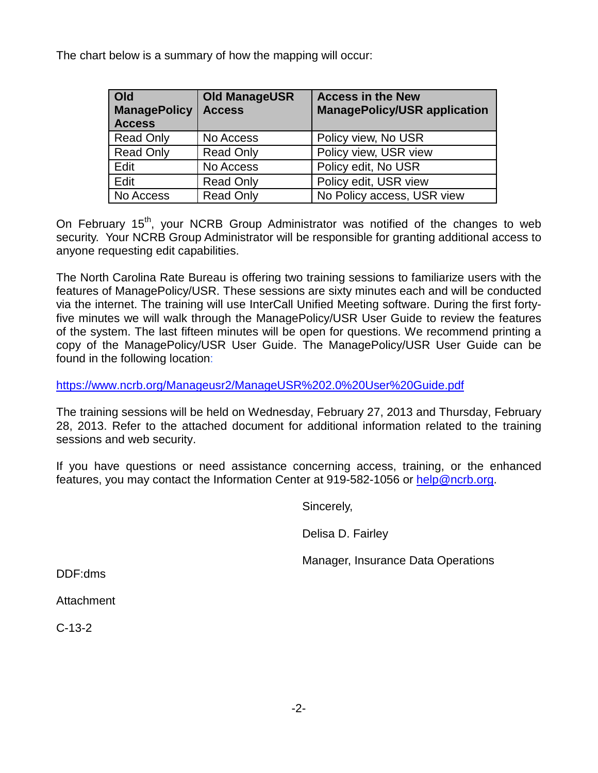The chart below is a summary of how the mapping will occur:

| Old<br><b>ManagePolicy</b><br><b>Access</b> | <b>Old ManageUSR</b><br><b>Access</b> | <b>Access in the New</b><br><b>ManagePolicy/USR application</b> |
|---------------------------------------------|---------------------------------------|-----------------------------------------------------------------|
| <b>Read Only</b>                            | No Access                             | Policy view, No USR                                             |
| <b>Read Only</b>                            | <b>Read Only</b>                      | Policy view, USR view                                           |
| Edit                                        | No Access                             | Policy edit, No USR                                             |
| Edit                                        | <b>Read Only</b>                      | Policy edit, USR view                                           |
| No Access                                   | <b>Read Only</b>                      | No Policy access, USR view                                      |

On February 15<sup>th</sup>, your NCRB Group Administrator was notified of the changes to web security. Your NCRB Group Administrator will be responsible for granting additional access to anyone requesting edit capabilities.

The North Carolina Rate Bureau is offering two training sessions to familiarize users with the features of ManagePolicy/USR. These sessions are sixty minutes each and will be conducted via the internet. The training will use InterCall Unified Meeting software. During the first fortyfive minutes we will walk through the ManagePolicy/USR User Guide to review the features of the system. The last fifteen minutes will be open for questions. We recommend printing a copy of the ManagePolicy/USR User Guide. The ManagePolicy/USR User Guide can be found in the following location:

<https://www.ncrb.org/Manageusr2/ManageUSR%202.0%20User%20Guide.pdf>

The training sessions will be held on Wednesday, February 27, 2013 and Thursday, February 28, 2013. Refer to the attached document for additional information related to the training sessions and web security.

If you have questions or need assistance concerning access, training, or the enhanced features, you may contact the Information Center at 919-582-1056 or [help@ncrb.org.](mailto:help@ncrb.org)

Sincerely,

Delisa D. Fairley

Manager, Insurance Data Operations

DDF:dms

Attachment

C-13-2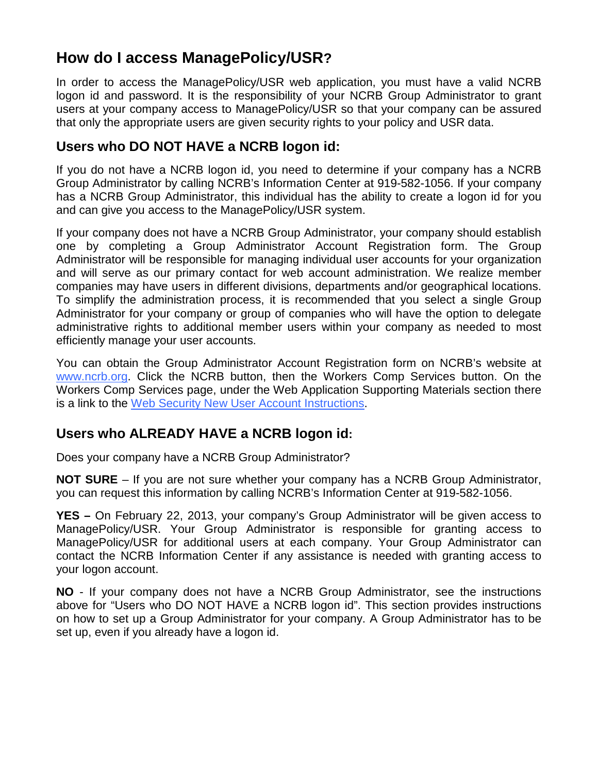### **How do I access ManagePolicy/USR?**

In order to access the ManagePolicy/USR web application, you must have a valid NCRB logon id and password. It is the responsibility of your NCRB Group Administrator to grant users at your company access to ManagePolicy/USR so that your company can be assured that only the appropriate users are given security rights to your policy and USR data.

#### **Users who DO NOT HAVE a NCRB logon id:**

If you do not have a NCRB logon id, you need to determine if your company has a NCRB Group Administrator by calling NCRB's Information Center at 919-582-1056. If your company has a NCRB Group Administrator, this individual has the ability to create a logon id for you and can give you access to the ManagePolicy/USR system.

If your company does not have a NCRB Group Administrator, your company should establish one by completing a Group Administrator Account Registration form. The Group Administrator will be responsible for managing individual user accounts for your organization and will serve as our primary contact for web account administration. We realize member companies may have users in different divisions, departments and/or geographical locations. To simplify the administration process, it is recommended that you select a single Group Administrator for your company or group of companies who will have the option to delegate administrative rights to additional member users within your company as needed to most efficiently manage your user accounts.

You can obtain the Group Administrator Account Registration form on NCRB's website at www.ncrb.org. Click the NCRB button, then the Workers Comp Services button. On the Workers Comp Services page, under the Web Application Supporting Materials section there is a link to the [Web Security New User Account Instructions.](http://www.ncrb.org/ncrb/Instructions/tabid/114/Default.aspx)

### **Users who ALREADY HAVE a NCRB logon id:**

Does your company have a NCRB Group Administrator?

**NOT SURE** – If you are not sure whether your company has a NCRB Group Administrator, you can request this information by calling NCRB's Information Center at 919-582-1056.

**YES –** On February 22, 2013, your company's Group Administrator will be given access to ManagePolicy/USR. Your Group Administrator is responsible for granting access to ManagePolicy/USR for additional users at each company. Your Group Administrator can contact the NCRB Information Center if any assistance is needed with granting access to your logon account.

**NO** - If your company does not have a NCRB Group Administrator, see the instructions above for "Users who DO NOT HAVE a NCRB logon id". This section provides instructions on how to set up a Group Administrator for your company. A Group Administrator has to be set up, even if you already have a logon id.